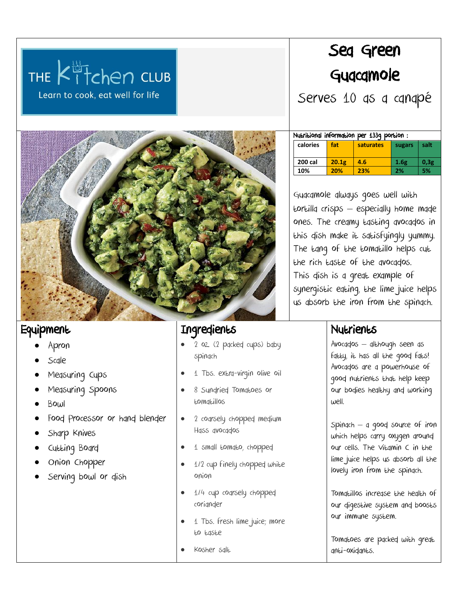

# Sea Green Guacamole

Serves 10 as a canapé

**calories fat saturates** sugars salt

**200 cal 20.1g 4.6 1.6g 0,3g**

Nutritional information per 133g portion :



## **Equipment**

- Apron
- Scale
- Measuring Cups
- Measuring Spoons
- Bowl
- Food Processor or hand blender
- Sharp Knives
- Cutting Board
- Onion Chopper
- Serving bowl or dish

#### Ingredients

- 2 oz. (2 packed cups) baby spinach
- 1 Tbs. extra-virgin olive oil
- 8 Sundried Tomatoes or tomatillos
- 2 coarsely chopped medium Hass avocados
- 1 small tomato, chopped
- 1/2 cup finely chopped white onion
- 1/4 cup coarsely chopped coriander
- 1 Tbs. fresh lime juice; more to taste
	- Kosher salt

## **10% 20% 23% 2% 5%** Guacamole always goes well with tortilla crisps – especially home made

ones. The creamy tasting avocados in this dish make it satisfyingly yummy. The tang of the tomatillo helps cut the rich taste of the avocados. This dish is a great example of synergistic eating, the lime juice helps us absorb the iron from the spinach.

## Nutrients

Avocados – although seen as fatty, it has all the good fats! Avocados are a powerhouse of good nutrients that help keep our bodies healthy and working well.

Spinach – a good source of iron which helps carry oxygen around our cells. The Vitamin C in the lime juice helps us absorb all the lovely iron from the spinach.

Tomatillos increase the health of our digestive system and boosts our immune system.

Tomatoes are packed with great anti-oxidants.